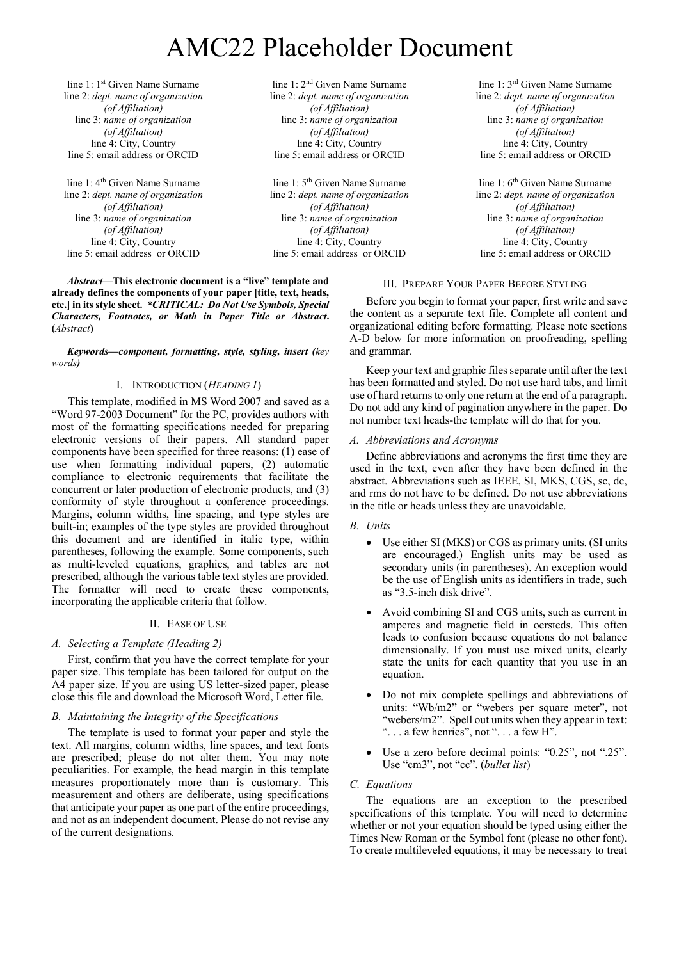# AMC22 Placeholder Document

line 1: 1st Given Name Surname line 2: *dept. name of organization (of Affiliation)* line 3: *name of organization (of Affiliation)* line 4: City, Country line 5: email address or ORCID

line 1: 4th Given Name Surname line 2: *dept. name of organization (of Affiliation)* line 3: *name of organization (of Affiliation)* line 4: City, Country line 5: email address or ORCID

line 1: 2nd Given Name Surname line 2: *dept. name of organization (of Affiliation)* line 3: *name of organization (of Affiliation)* line 4: City, Country line 5: email address or ORCID

line 1: 5<sup>th</sup> Given Name Surname line 2: *dept. name of organization (of Affiliation)* line 3: *name of organization (of Affiliation)* line 4: City, Country line 5: email address or ORCID

*Abstract***—This electronic document is a "live" template and already defines the components of your paper [title, text, heads, etc.] in its style sheet.** *\*CRITICAL: Do Not Use Symbols, Special Characters, Footnotes, or Math in Paper Title or Abstract***. (***Abstract***)**

*Keywords—component, formatting, style, styling, insert (key words)*

# I. INTRODUCTION (*HEADING 1*)

This template, modified in MS Word 2007 and saved as a "Word 97-2003 Document" for the PC, provides authors with most of the formatting specifications needed for preparing electronic versions of their papers. All standard paper components have been specified for three reasons: (1) ease of use when formatting individual papers, (2) automatic compliance to electronic requirements that facilitate the concurrent or later production of electronic products, and (3) conformity of style throughout a conference proceedings. Margins, column widths, line spacing, and type styles are built-in; examples of the type styles are provided throughout this document and are identified in italic type, within parentheses, following the example. Some components, such as multi-leveled equations, graphics, and tables are not prescribed, although the various table text styles are provided. The formatter will need to create these components, incorporating the applicable criteria that follow.

## II. EASE OF USE

## *A. Selecting a Template (Heading 2)*

First, confirm that you have the correct template for your paper size. This template has been tailored for output on the A4 paper size. If you are using US letter-sized paper, please close this file and download the Microsoft Word, Letter file.

# *B. Maintaining the Integrity of the Specifications*

The template is used to format your paper and style the text. All margins, column widths, line spaces, and text fonts are prescribed; please do not alter them. You may note peculiarities. For example, the head margin in this template measures proportionately more than is customary. This measurement and others are deliberate, using specifications that anticipate your paper as one part of the entire proceedings, and not as an independent document. Please do not revise any of the current designations.

line 1: 3rd Given Name Surname line 2: *dept. name of organization (of Affiliation)* line 3: *name of organization (of Affiliation)* line 4: City, Country line 5: email address or ORCID

line 1: 6<sup>th</sup> Given Name Surname line 2: *dept. name of organization (of Affiliation)* line 3: *name of organization (of Affiliation)* line 4: City, Country line 5: email address or ORCID

#### III. PREPARE YOUR PAPER BEFORE STYLING

Before you begin to format your paper, first write and save the content as a separate text file. Complete all content and organizational editing before formatting. Please note sections A-D below for more information on proofreading, spelling and grammar.

Keep your text and graphic files separate until after the text has been formatted and styled. Do not use hard tabs, and limit use of hard returns to only one return at the end of a paragraph. Do not add any kind of pagination anywhere in the paper. Do not number text heads-the template will do that for you.

#### *A. Abbreviations and Acronyms*

Define abbreviations and acronyms the first time they are used in the text, even after they have been defined in the abstract. Abbreviations such as IEEE, SI, MKS, CGS, sc, dc, and rms do not have to be defined. Do not use abbreviations in the title or heads unless they are unavoidable.

## *B. Units*

- Use either SI (MKS) or CGS as primary units. (SI units are encouraged.) English units may be used as secondary units (in parentheses). An exception would be the use of English units as identifiers in trade, such as "3.5-inch disk drive".
- Avoid combining SI and CGS units, such as current in amperes and magnetic field in oersteds. This often leads to confusion because equations do not balance dimensionally. If you must use mixed units, clearly state the units for each quantity that you use in an equation.
- Do not mix complete spellings and abbreviations of units: "Wb/m2" or "webers per square meter", not "webers/m2". Spell out units when they appear in text: ". . . a few henries", not ". . . a few H".
- Use a zero before decimal points: "0.25", not ".25". Use "cm3", not "cc". (*bullet list*)

## *C. Equations*

The equations are an exception to the prescribed specifications of this template. You will need to determine whether or not your equation should be typed using either the Times New Roman or the Symbol font (please no other font). To create multileveled equations, it may be necessary to treat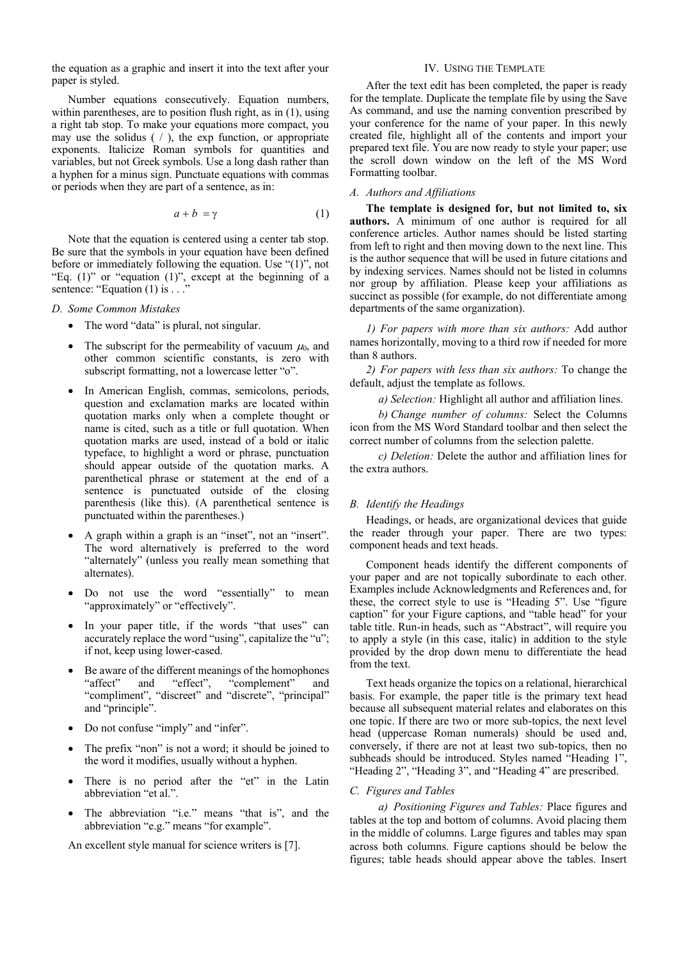the equation as a graphic and insert it into the text after your paper is styled.

Number equations consecutively. Equation numbers, within parentheses, are to position flush right, as in (1), using a right tab stop. To make your equations more compact, you may use the solidus  $( / )$ , the exp function, or appropriate exponents. Italicize Roman symbols for quantities and variables, but not Greek symbols. Use a long dash rather than a hyphen for a minus sign. Punctuate equations with commas or periods when they are part of a sentence, as in:

$$
a + b = \gamma \tag{1}
$$

Note that the equation is centered using a center tab stop. Be sure that the symbols in your equation have been defined before or immediately following the equation. Use "(1)", not "Eq. (1)" or "equation (1)", except at the beginning of a sentence: "Equation (1) is . . ."

#### *D. Some Common Mistakes*

- The word "data" is plural, not singular.
- The subscript for the permeability of vacuum  $\mu_0$ , and other common scientific constants, is zero with subscript formatting, not a lowercase letter "o".
- In American English, commas, semicolons, periods, question and exclamation marks are located within quotation marks only when a complete thought or name is cited, such as a title or full quotation. When quotation marks are used, instead of a bold or italic typeface, to highlight a word or phrase, punctuation should appear outside of the quotation marks. A parenthetical phrase or statement at the end of a sentence is punctuated outside of the closing parenthesis (like this). (A parenthetical sentence is punctuated within the parentheses.)
- A graph within a graph is an "inset", not an "insert". The word alternatively is preferred to the word "alternately" (unless you really mean something that alternates).
- Do not use the word "essentially" to mean "approximately" or "effectively".
- In your paper title, if the words "that uses" can accurately replace the word "using", capitalize the "u"; if not, keep using lower-cased.
- Be aware of the different meanings of the homophones "affect" and "effect", "complement" and "compliment", "discreet" and "discrete", "principal" and "principle".
- Do not confuse "imply" and "infer".
- The prefix "non" is not a word; it should be joined to the word it modifies, usually without a hyphen.
- There is no period after the "et" in the Latin abbreviation "et al.".
- The abbreviation "i.e." means "that is", and the abbreviation "e.g." means "for example".

An excellent style manual for science writers is [7].

# IV. USING THE TEMPLATE

After the text edit has been completed, the paper is ready for the template. Duplicate the template file by using the Save As command, and use the naming convention prescribed by your conference for the name of your paper. In this newly created file, highlight all of the contents and import your prepared text file. You are now ready to style your paper; use the scroll down window on the left of the MS Word Formatting toolbar.

# *A. Authors and Affiliations*

**The template is designed for, but not limited to, six authors.** A minimum of one author is required for all conference articles. Author names should be listed starting from left to right and then moving down to the next line. This is the author sequence that will be used in future citations and by indexing services. Names should not be listed in columns nor group by affiliation. Please keep your affiliations as succinct as possible (for example, do not differentiate among departments of the same organization).

*1) For papers with more than six authors:* Add author names horizontally, moving to a third row if needed for more than 8 authors.

*2) For papers with less than six authors:* To change the default, adjust the template as follows.

*a) Selection:* Highlight all author and affiliation lines.

*b) Change number of columns:* Select the Columns icon from the MS Word Standard toolbar and then select the correct number of columns from the selection palette.

*c) Deletion:* Delete the author and affiliation lines for the extra authors.

#### *B. Identify the Headings*

Headings, or heads, are organizational devices that guide the reader through your paper. There are two types: component heads and text heads.

Component heads identify the different components of your paper and are not topically subordinate to each other. Examples include Acknowledgments and References and, for these, the correct style to use is "Heading 5". Use "figure caption" for your Figure captions, and "table head" for your table title. Run-in heads, such as "Abstract", will require you to apply a style (in this case, italic) in addition to the style provided by the drop down menu to differentiate the head from the text.

Text heads organize the topics on a relational, hierarchical basis. For example, the paper title is the primary text head because all subsequent material relates and elaborates on this one topic. If there are two or more sub-topics, the next level head (uppercase Roman numerals) should be used and, conversely, if there are not at least two sub-topics, then no subheads should be introduced. Styles named "Heading 1", "Heading 2", "Heading 3", and "Heading 4" are prescribed.

# *C. Figures and Tables*

*a) Positioning Figures and Tables:* Place figures and tables at the top and bottom of columns. Avoid placing them in the middle of columns. Large figures and tables may span across both columns. Figure captions should be below the figures; table heads should appear above the tables. Insert